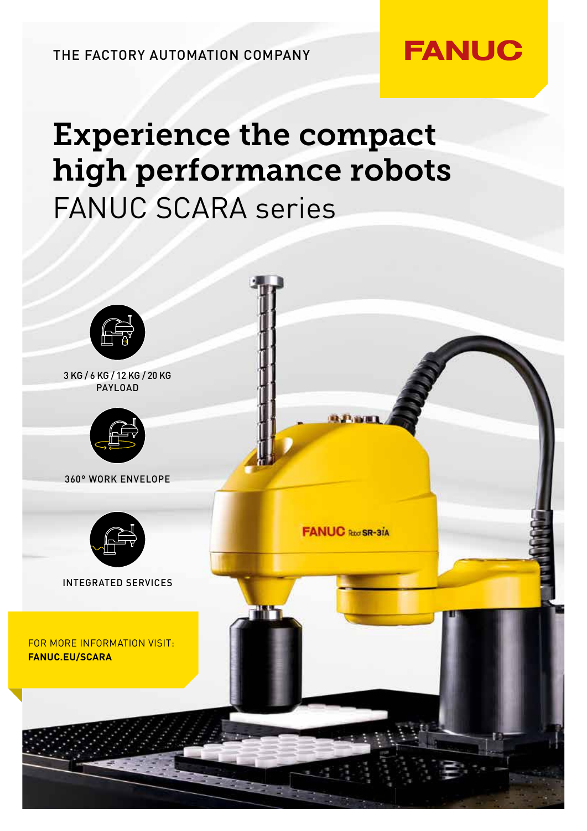THE FACTORY AUTOMATION COMPANY

# Experience the compact high performance robots FANUC SCARA series

**FANUC**